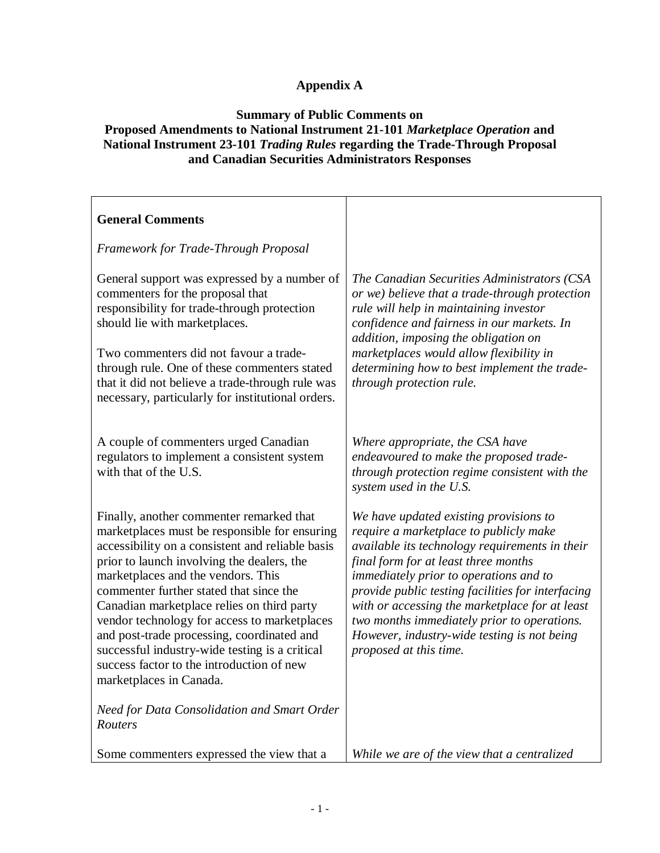# **Appendix A**

### **Summary of Public Comments on Proposed Amendments to National Instrument 21-101** *Marketplace Operation* **and National Instrument 23-101** *Trading Rules* **regarding the Trade-Through Proposal and Canadian Securities Administrators Responses**

| <b>General Comments</b>                                                                                                                                                                                                                                                                                                                                                                                                                                                                                                                            |                                                                                                                                                                                                                                                                                                                                                                                                                                                     |
|----------------------------------------------------------------------------------------------------------------------------------------------------------------------------------------------------------------------------------------------------------------------------------------------------------------------------------------------------------------------------------------------------------------------------------------------------------------------------------------------------------------------------------------------------|-----------------------------------------------------------------------------------------------------------------------------------------------------------------------------------------------------------------------------------------------------------------------------------------------------------------------------------------------------------------------------------------------------------------------------------------------------|
| <b>Framework for Trade-Through Proposal</b>                                                                                                                                                                                                                                                                                                                                                                                                                                                                                                        |                                                                                                                                                                                                                                                                                                                                                                                                                                                     |
| General support was expressed by a number of<br>commenters for the proposal that<br>responsibility for trade-through protection<br>should lie with marketplaces.<br>Two commenters did not favour a trade-<br>through rule. One of these commenters stated<br>that it did not believe a trade-through rule was<br>necessary, particularly for institutional orders.                                                                                                                                                                                | The Canadian Securities Administrators (CSA<br>or we) believe that a trade-through protection<br>rule will help in maintaining investor<br>confidence and fairness in our markets. In<br>addition, imposing the obligation on<br>marketplaces would allow flexibility in<br>determining how to best implement the trade-<br>through protection rule.                                                                                                |
| A couple of commenters urged Canadian<br>regulators to implement a consistent system<br>with that of the U.S.                                                                                                                                                                                                                                                                                                                                                                                                                                      | Where appropriate, the CSA have<br>endeavoured to make the proposed trade-<br>through protection regime consistent with the<br>system used in the U.S.                                                                                                                                                                                                                                                                                              |
| Finally, another commenter remarked that<br>marketplaces must be responsible for ensuring<br>accessibility on a consistent and reliable basis<br>prior to launch involving the dealers, the<br>marketplaces and the vendors. This<br>commenter further stated that since the<br>Canadian marketplace relies on third party<br>vendor technology for access to marketplaces<br>and post-trade processing, coordinated and<br>successful industry-wide testing is a critical<br>success factor to the introduction of new<br>marketplaces in Canada. | We have updated existing provisions to<br>require a marketplace to publicly make<br>available its technology requirements in their<br>final form for at least three months<br>immediately prior to operations and to<br>provide public testing facilities for interfacing<br>with or accessing the marketplace for at least<br>two months immediately prior to operations.<br>However, industry-wide testing is not being<br>proposed at this time. |
| Need for Data Consolidation and Smart Order<br>Routers                                                                                                                                                                                                                                                                                                                                                                                                                                                                                             |                                                                                                                                                                                                                                                                                                                                                                                                                                                     |
| Some commenters expressed the view that a                                                                                                                                                                                                                                                                                                                                                                                                                                                                                                          | While we are of the view that a centralized                                                                                                                                                                                                                                                                                                                                                                                                         |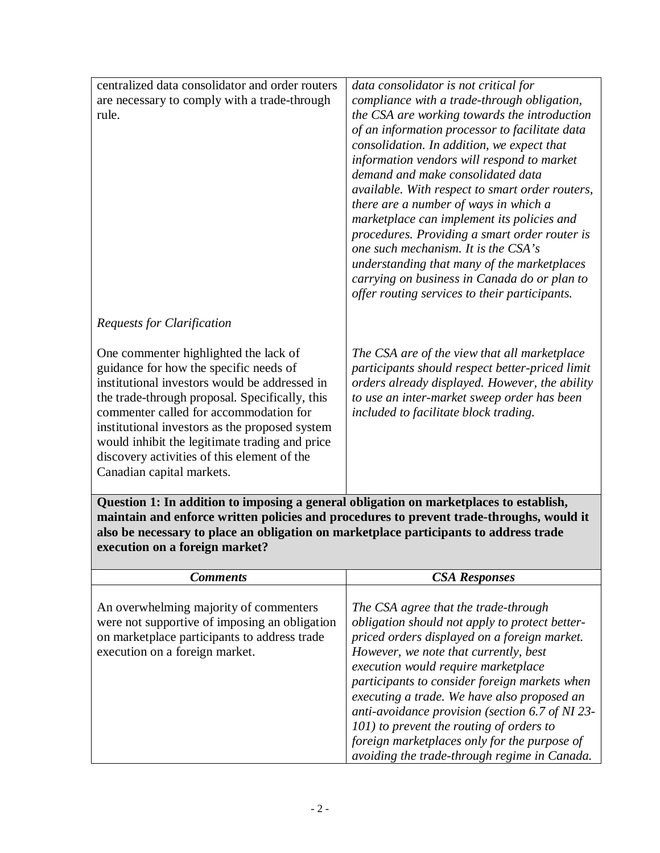| centralized data consolidator and order routers<br>are necessary to comply with a trade-through<br>rule.                                                                                                                                                                                                                                                                                                     | data consolidator is not critical for<br>compliance with a trade-through obligation,<br>the CSA are working towards the introduction<br>of an information processor to facilitate data<br>consolidation. In addition, we expect that<br>information vendors will respond to market<br>demand and make consolidated data<br>available. With respect to smart order routers,<br>there are a number of ways in which a<br>marketplace can implement its policies and<br>procedures. Providing a smart order router is<br>one such mechanism. It is the CSA's<br>understanding that many of the marketplaces<br>carrying on business in Canada do or plan to<br>offer routing services to their participants. |
|--------------------------------------------------------------------------------------------------------------------------------------------------------------------------------------------------------------------------------------------------------------------------------------------------------------------------------------------------------------------------------------------------------------|-----------------------------------------------------------------------------------------------------------------------------------------------------------------------------------------------------------------------------------------------------------------------------------------------------------------------------------------------------------------------------------------------------------------------------------------------------------------------------------------------------------------------------------------------------------------------------------------------------------------------------------------------------------------------------------------------------------|
| <b>Requests for Clarification</b>                                                                                                                                                                                                                                                                                                                                                                            |                                                                                                                                                                                                                                                                                                                                                                                                                                                                                                                                                                                                                                                                                                           |
| One commenter highlighted the lack of<br>guidance for how the specific needs of<br>institutional investors would be addressed in<br>the trade-through proposal. Specifically, this<br>commenter called for accommodation for<br>institutional investors as the proposed system<br>would inhibit the legitimate trading and price<br>discovery activities of this element of the<br>Canadian capital markets. | The CSA are of the view that all marketplace<br>participants should respect better-priced limit<br>orders already displayed. However, the ability<br>to use an inter-market sweep order has been<br>included to facilitate block trading.                                                                                                                                                                                                                                                                                                                                                                                                                                                                 |
| Question 1: In addition to imposing a general obligation on marketplaces to establish,<br>maintain and enforce written policies and procedures to prevent trade-throughs, would it<br>also be necessary to place an obligation on marketplace participants to address trade<br>execution on a foreign market?                                                                                                |                                                                                                                                                                                                                                                                                                                                                                                                                                                                                                                                                                                                                                                                                                           |
| <b>Comments</b>                                                                                                                                                                                                                                                                                                                                                                                              | <b>CSA Responses</b>                                                                                                                                                                                                                                                                                                                                                                                                                                                                                                                                                                                                                                                                                      |
| An overwhelming majority of commenters<br>$\mathbf{r}$                                                                                                                                                                                                                                                                                                                                                       | The CSA agree that the trade-through                                                                                                                                                                                                                                                                                                                                                                                                                                                                                                                                                                                                                                                                      |

| execution on a foreign market.                                                                                                                                            |                                                                                                                                                                                                                                                                         |
|---------------------------------------------------------------------------------------------------------------------------------------------------------------------------|-------------------------------------------------------------------------------------------------------------------------------------------------------------------------------------------------------------------------------------------------------------------------|
| <b>Comments</b>                                                                                                                                                           | <b>CSA Responses</b>                                                                                                                                                                                                                                                    |
| An overwhelming majority of commenters<br>were not supportive of imposing an obligation<br>on marketplace participants to address trade<br>execution on a foreign market. | The CSA agree that the trade-through<br>obligation should not apply to protect better-<br>priced orders displayed on a foreign market.<br>However, we note that currently, best<br>execution would require marketplace<br>participants to consider foreign markets when |

*executing a trade. We have also proposed an anti-avoidance provision (section 6.7 of NI 23-*

*101) to prevent the routing of orders to foreign marketplaces only for the purpose of avoiding the trade-through regime in Canada.*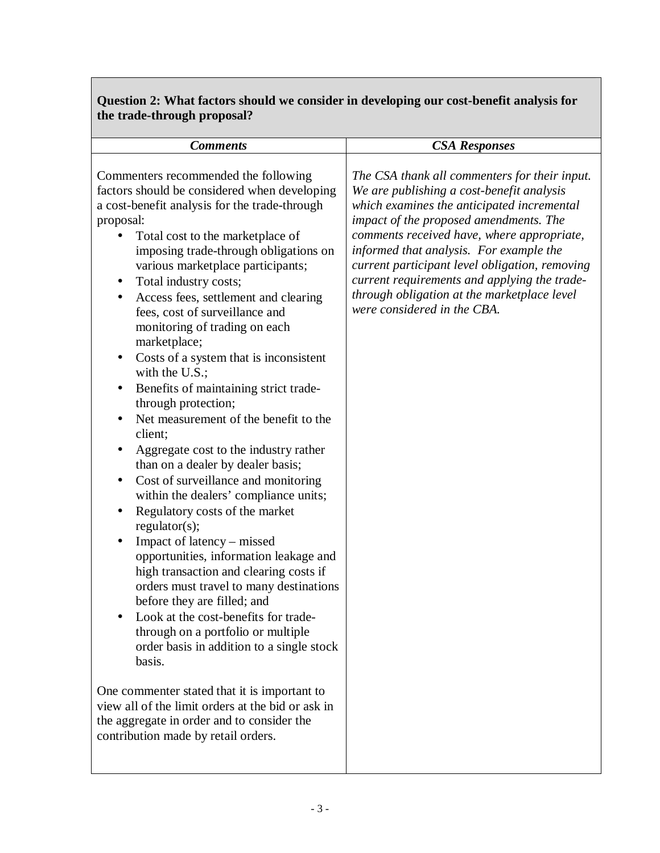## **Question 2: What factors should we consider in developing our cost-benefit analysis for the trade-through proposal?**

| <b>Comments</b>                                                                                                                                                                                                                                                                                                                                                                                                                                                                                                                                                                                                                                                                                                                                                                                                                                                                                                                                                                                                                                                                                                                                                                                                                                                                                                                                                                | <b>CSA Responses</b>                                                                                                                                                                                                                                                                                                                                                                                                                                        |
|--------------------------------------------------------------------------------------------------------------------------------------------------------------------------------------------------------------------------------------------------------------------------------------------------------------------------------------------------------------------------------------------------------------------------------------------------------------------------------------------------------------------------------------------------------------------------------------------------------------------------------------------------------------------------------------------------------------------------------------------------------------------------------------------------------------------------------------------------------------------------------------------------------------------------------------------------------------------------------------------------------------------------------------------------------------------------------------------------------------------------------------------------------------------------------------------------------------------------------------------------------------------------------------------------------------------------------------------------------------------------------|-------------------------------------------------------------------------------------------------------------------------------------------------------------------------------------------------------------------------------------------------------------------------------------------------------------------------------------------------------------------------------------------------------------------------------------------------------------|
|                                                                                                                                                                                                                                                                                                                                                                                                                                                                                                                                                                                                                                                                                                                                                                                                                                                                                                                                                                                                                                                                                                                                                                                                                                                                                                                                                                                |                                                                                                                                                                                                                                                                                                                                                                                                                                                             |
| Commenters recommended the following<br>factors should be considered when developing<br>a cost-benefit analysis for the trade-through<br>proposal:<br>Total cost to the marketplace of<br>imposing trade-through obligations on<br>various marketplace participants;<br>Total industry costs;<br>Access fees, settlement and clearing<br>$\bullet$<br>fees, cost of surveillance and<br>monitoring of trading on each<br>marketplace;<br>Costs of a system that is inconsistent<br>with the U.S.;<br>Benefits of maintaining strict trade-<br>through protection;<br>Net measurement of the benefit to the<br>client;<br>Aggregate cost to the industry rather<br>$\bullet$<br>than on a dealer by dealer basis;<br>Cost of surveillance and monitoring<br>within the dealers' compliance units;<br>Regulatory costs of the market<br>regulator(s);<br>Impact of latency – missed<br>opportunities, information leakage and<br>high transaction and clearing costs if<br>orders must travel to many destinations<br>before they are filled; and<br>Look at the cost-benefits for trade-<br>through on a portfolio or multiple<br>order basis in addition to a single stock<br>basis.<br>One commenter stated that it is important to<br>view all of the limit orders at the bid or ask in<br>the aggregate in order and to consider the<br>contribution made by retail orders. | The CSA thank all commenters for their input.<br>We are publishing a cost-benefit analysis<br>which examines the anticipated incremental<br>impact of the proposed amendments. The<br>comments received have, where appropriate,<br>informed that analysis. For example the<br>current participant level obligation, removing<br>current requirements and applying the trade-<br>through obligation at the marketplace level<br>were considered in the CBA. |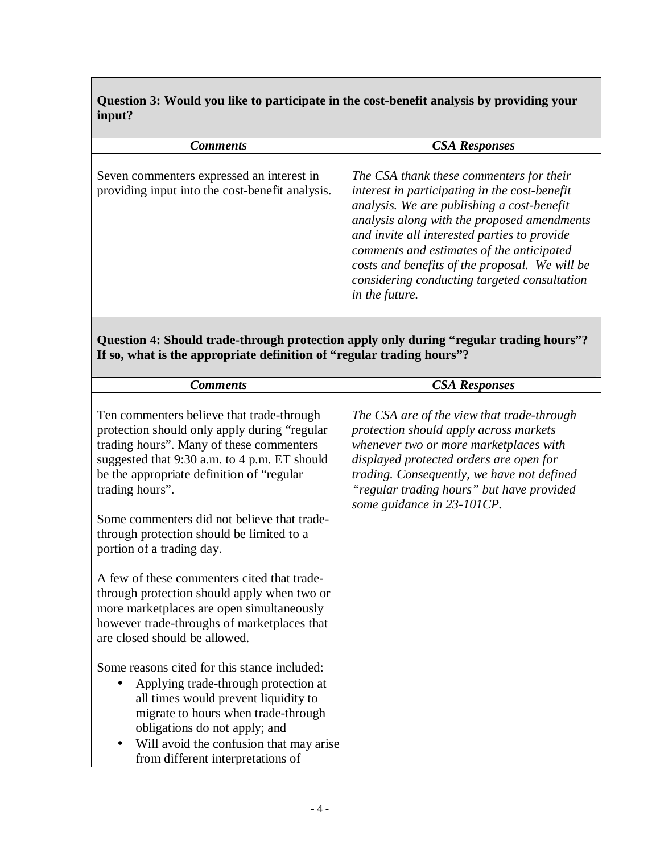## **Question 3: Would you like to participate in the cost-benefit analysis by providing your input?**

| <b>Comments</b>                                                                              | <b>CSA Responses</b>                                                                                                                                                                                                                                                                                                                                                                                    |
|----------------------------------------------------------------------------------------------|---------------------------------------------------------------------------------------------------------------------------------------------------------------------------------------------------------------------------------------------------------------------------------------------------------------------------------------------------------------------------------------------------------|
| Seven commenters expressed an interest in<br>providing input into the cost-benefit analysis. | The CSA thank these commenters for their<br>interest in participating in the cost-benefit<br>analysis. We are publishing a cost-benefit<br>analysis along with the proposed amendments<br>and invite all interested parties to provide<br>comments and estimates of the anticipated<br>costs and benefits of the proposal. We will be<br>considering conducting targeted consultation<br>in the future. |

#### **Question 4: Should trade-through protection apply only during "regular trading hours"? If so, what is the appropriate definition of "regular trading hours"?**

| <b>Comments</b>                                                                                                                                                                                                                                                                                      | <b>CSA Responses</b>                                                                                                                                                                                                                                                                               |
|------------------------------------------------------------------------------------------------------------------------------------------------------------------------------------------------------------------------------------------------------------------------------------------------------|----------------------------------------------------------------------------------------------------------------------------------------------------------------------------------------------------------------------------------------------------------------------------------------------------|
| Ten commenters believe that trade-through<br>protection should only apply during "regular<br>trading hours". Many of these commenters<br>suggested that 9:30 a.m. to 4 p.m. ET should<br>be the appropriate definition of "regular<br>trading hours".<br>Some commenters did not believe that trade- | The CSA are of the view that trade-through<br>protection should apply across markets<br>whenever two or more marketplaces with<br>displayed protected orders are open for<br>trading. Consequently, we have not defined<br>"regular trading hours" but have provided<br>some guidance in 23-101CP. |
| through protection should be limited to a<br>portion of a trading day.                                                                                                                                                                                                                               |                                                                                                                                                                                                                                                                                                    |
| A few of these commenters cited that trade-<br>through protection should apply when two or<br>more marketplaces are open simultaneously<br>however trade-throughs of marketplaces that<br>are closed should be allowed.                                                                              |                                                                                                                                                                                                                                                                                                    |
| Some reasons cited for this stance included:<br>Applying trade-through protection at<br>all times would prevent liquidity to                                                                                                                                                                         |                                                                                                                                                                                                                                                                                                    |
| migrate to hours when trade-through<br>obligations do not apply; and<br>Will avoid the confusion that may arise<br>from different interpretations of                                                                                                                                                 |                                                                                                                                                                                                                                                                                                    |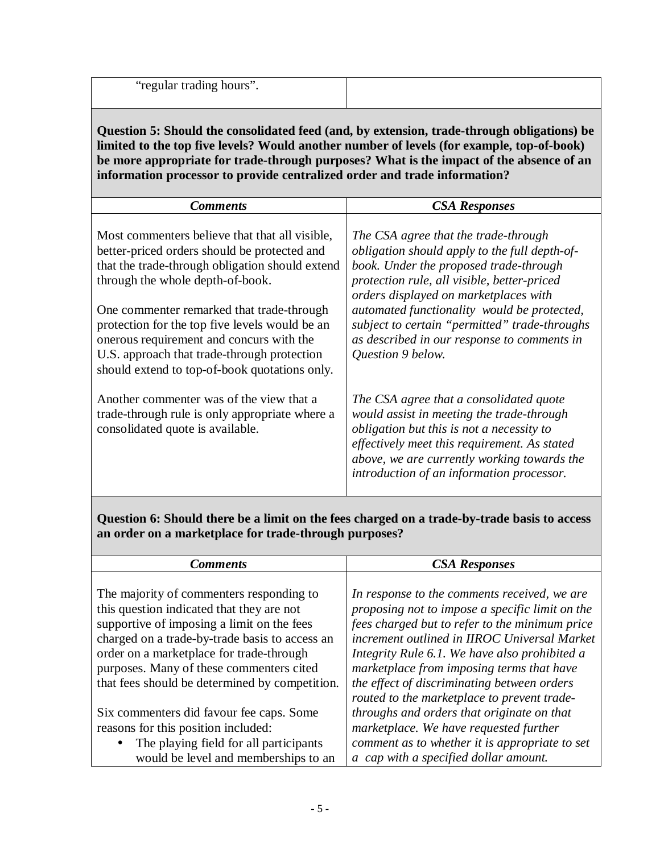"regular trading hours".

**Question 5: Should the consolidated feed (and, by extension, trade-through obligations) be limited to the top five levels? Would another number of levels (for example, top-of-book) be more appropriate for trade-through purposes? What is the impact of the absence of an information processor to provide centralized order and trade information?** 

| <b>Comments</b>                                                                                                                                                                                                                         | <b>CSA Responses</b>                                                                                                                                                                                                                                                          |
|-----------------------------------------------------------------------------------------------------------------------------------------------------------------------------------------------------------------------------------------|-------------------------------------------------------------------------------------------------------------------------------------------------------------------------------------------------------------------------------------------------------------------------------|
| Most commenters believe that that all visible,<br>better-priced orders should be protected and<br>that the trade-through obligation should extend<br>through the whole depth-of-book.                                                   | The CSA agree that the trade-through<br>obligation should apply to the full depth-of-<br>book. Under the proposed trade-through<br>protection rule, all visible, better-priced<br>orders displayed on marketplaces with                                                       |
| One commenter remarked that trade-through<br>protection for the top five levels would be an<br>onerous requirement and concurs with the<br>U.S. approach that trade-through protection<br>should extend to top-of-book quotations only. | automated functionality would be protected,<br>subject to certain "permitted" trade-throughs<br>as described in our response to comments in<br>Question 9 below.                                                                                                              |
| Another commenter was of the view that a<br>trade-through rule is only appropriate where a<br>consolidated quote is available.                                                                                                          | The CSA agree that a consolidated quote<br>would assist in meeting the trade-through<br>obligation but this is not a necessity to<br>effectively meet this requirement. As stated<br>above, we are currently working towards the<br>introduction of an information processor. |

**Question 6: Should there be a limit on the fees charged on a trade-by-trade basis to access an order on a marketplace for trade-through purposes?** 

| <b>Comments</b>                                     | <b>CSA Responses</b>                            |
|-----------------------------------------------------|-------------------------------------------------|
|                                                     |                                                 |
| The majority of commenters responding to            | In response to the comments received, we are    |
| this question indicated that they are not           | proposing not to impose a specific limit on the |
| supportive of imposing a limit on the fees          | fees charged but to refer to the minimum price  |
| charged on a trade-by-trade basis to access an      | increment outlined in IIROC Universal Market    |
| order on a marketplace for trade-through            | Integrity Rule 6.1. We have also prohibited a   |
| purposes. Many of these commenters cited            | marketplace from imposing terms that have       |
| that fees should be determined by competition.      | the effect of discriminating between orders     |
|                                                     | routed to the marketplace to prevent trade-     |
| Six commenters did favour fee caps. Some            | throughs and orders that originate on that      |
| reasons for this position included:                 | marketplace. We have requested further          |
| The playing field for all participants<br>$\bullet$ | comment as to whether it is appropriate to set  |
| would be level and memberships to an                | a cap with a specified dollar amount.           |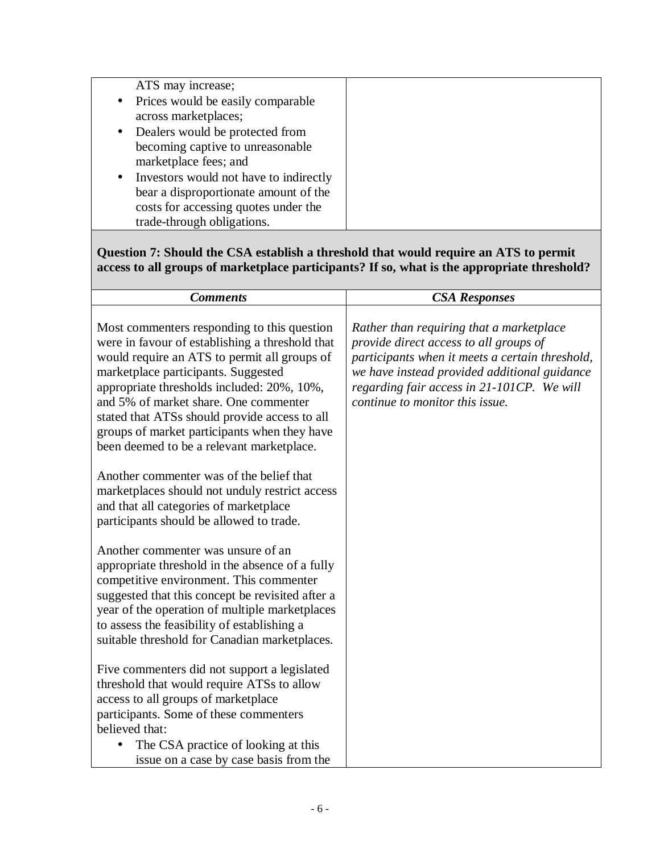| ATS may increase;                        |
|------------------------------------------|
| • Prices would be easily comparable      |
| across marketplaces;                     |
| • Dealers would be protected from        |
| becoming captive to unreasonable         |
| marketplace fees; and                    |
| • Investors would not have to indirectly |
| bear a disproportionate amount of the    |
| costs for accessing quotes under the     |
| trade-through obligations.               |

**Question 7: Should the CSA establish a threshold that would require an ATS to permit access to all groups of marketplace participants? If so, what is the appropriate threshold?** 

| <b>Comments</b>                                                                                                                                                                                                                                                                                                                                                                                                            | <b>CSA Responses</b>                                                                                                                                                                                                                                                   |
|----------------------------------------------------------------------------------------------------------------------------------------------------------------------------------------------------------------------------------------------------------------------------------------------------------------------------------------------------------------------------------------------------------------------------|------------------------------------------------------------------------------------------------------------------------------------------------------------------------------------------------------------------------------------------------------------------------|
| Most commenters responding to this question<br>were in favour of establishing a threshold that<br>would require an ATS to permit all groups of<br>marketplace participants. Suggested<br>appropriate thresholds included: 20%, 10%,<br>and 5% of market share. One commenter<br>stated that ATSs should provide access to all<br>groups of market participants when they have<br>been deemed to be a relevant marketplace. | Rather than requiring that a marketplace<br>provide direct access to all groups of<br>participants when it meets a certain threshold,<br>we have instead provided additional guidance<br>regarding fair access in 21-101CP. We will<br>continue to monitor this issue. |
| Another commenter was of the belief that<br>marketplaces should not unduly restrict access<br>and that all categories of marketplace<br>participants should be allowed to trade.                                                                                                                                                                                                                                           |                                                                                                                                                                                                                                                                        |
| Another commenter was unsure of an<br>appropriate threshold in the absence of a fully<br>competitive environment. This commenter<br>suggested that this concept be revisited after a<br>year of the operation of multiple marketplaces<br>to assess the feasibility of establishing a<br>suitable threshold for Canadian marketplaces.                                                                                     |                                                                                                                                                                                                                                                                        |
| Five commenters did not support a legislated<br>threshold that would require ATSs to allow<br>access to all groups of marketplace<br>participants. Some of these commenters<br>believed that:<br>The CSA practice of looking at this<br>issue on a case by case basis from the                                                                                                                                             |                                                                                                                                                                                                                                                                        |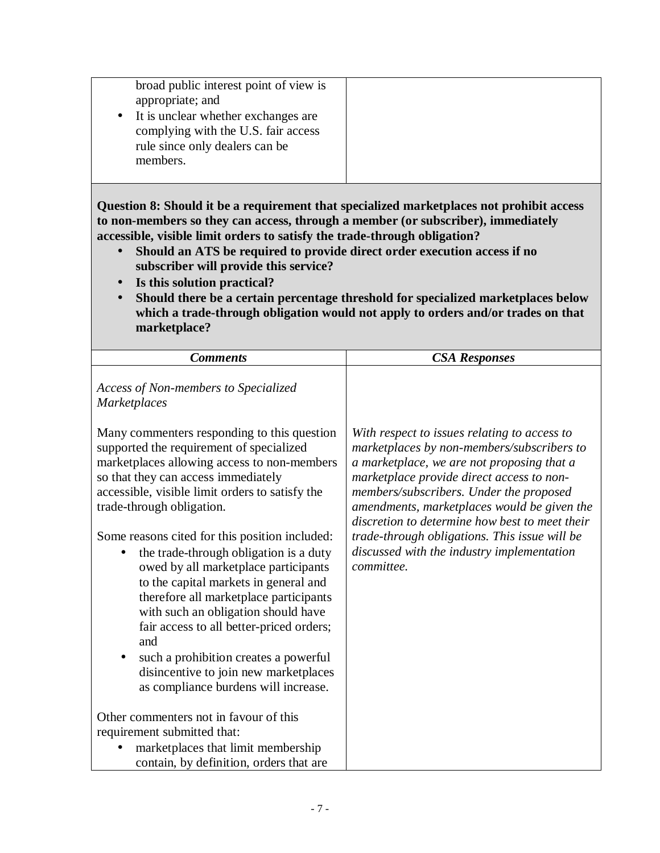| complying with the U.S. fair access<br>rule since only dealers can be<br>members. |
|-----------------------------------------------------------------------------------|
|-----------------------------------------------------------------------------------|

**Question 8: Should it be a requirement that specialized marketplaces not prohibit access to non-members so they can access, through a member (or subscriber), immediately accessible, visible limit orders to satisfy the trade-through obligation?** 

- **Should an ATS be required to provide direct order execution access if no subscriber will provide this service?**
- **Is this solution practical?**
- **Should there be a certain percentage threshold for specialized marketplaces below which a trade-through obligation would not apply to orders and/or trades on that marketplace?**

| <b>Comments</b>                                                                                                                                                                                                                                                                                                                                                                                                                                                                                                                                                                                                                                                                                                                    | <b>CSA Responses</b>                                                                                                                                                                                                                                                                                                                                                                                                                           |
|------------------------------------------------------------------------------------------------------------------------------------------------------------------------------------------------------------------------------------------------------------------------------------------------------------------------------------------------------------------------------------------------------------------------------------------------------------------------------------------------------------------------------------------------------------------------------------------------------------------------------------------------------------------------------------------------------------------------------------|------------------------------------------------------------------------------------------------------------------------------------------------------------------------------------------------------------------------------------------------------------------------------------------------------------------------------------------------------------------------------------------------------------------------------------------------|
| Access of Non-members to Specialized<br><b>Marketplaces</b>                                                                                                                                                                                                                                                                                                                                                                                                                                                                                                                                                                                                                                                                        |                                                                                                                                                                                                                                                                                                                                                                                                                                                |
| Many commenters responding to this question<br>supported the requirement of specialized<br>marketplaces allowing access to non-members<br>so that they can access immediately<br>accessible, visible limit orders to satisfy the<br>trade-through obligation.<br>Some reasons cited for this position included:<br>the trade-through obligation is a duty<br>$\bullet$<br>owed by all marketplace participants<br>to the capital markets in general and<br>therefore all marketplace participants<br>with such an obligation should have<br>fair access to all better-priced orders;<br>and<br>such a prohibition creates a powerful<br>$\bullet$<br>disincentive to join new marketplaces<br>as compliance burdens will increase. | With respect to issues relating to access to<br>marketplaces by non-members/subscribers to<br>a marketplace, we are not proposing that a<br>marketplace provide direct access to non-<br>members/subscribers. Under the proposed<br>amendments, marketplaces would be given the<br>discretion to determine how best to meet their<br>trade-through obligations. This issue will be<br>discussed with the industry implementation<br>committee. |
| Other commenters not in favour of this<br>requirement submitted that:                                                                                                                                                                                                                                                                                                                                                                                                                                                                                                                                                                                                                                                              |                                                                                                                                                                                                                                                                                                                                                                                                                                                |
| marketplaces that limit membership<br>contain, by definition, orders that are                                                                                                                                                                                                                                                                                                                                                                                                                                                                                                                                                                                                                                                      |                                                                                                                                                                                                                                                                                                                                                                                                                                                |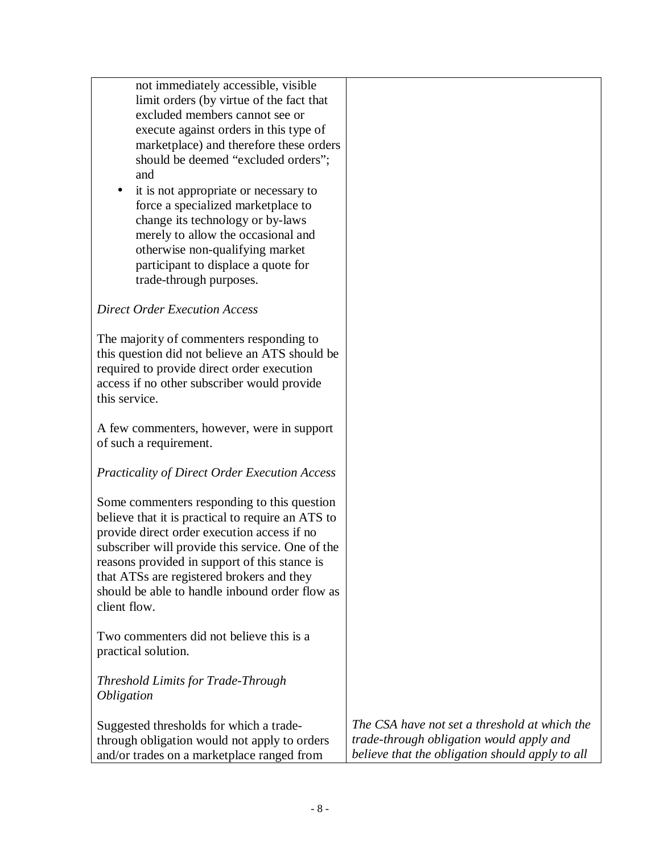not immediately accessible, visible limit orders (by virtue of the fact that excluded members cannot see or execute against orders in this type of marketplace) and therefore these orders should be deemed "excluded orders"; and

• it is not appropriate or necessary to force a specialized marketplace to change its technology or by-laws merely to allow the occasional and otherwise non-qualifying market participant to displace a quote for trade-through purposes.

### *Direct Order Execution Access*

The majority of commenters responding to this question did not believe an ATS should be required to provide direct order execution access if no other subscriber would provide this service.

A few commenters, however, were in support of such a requirement.

#### *Practicality of Direct Order Execution Access*

Some commenters responding to this question believe that it is practical to require an ATS to provide direct order execution access if no subscriber will provide this service. One of the reasons provided in support of this stance is that ATSs are registered brokers and they should be able to handle inbound order flow as client flow.

Two commenters did not believe this is a practical solution.

*Threshold Limits for Trade-Through Obligation* 

Suggested thresholds for which a tradethrough obligation would not apply to orders and/or trades on a marketplace ranged from *The CSA have not set a threshold at which the trade-through obligation would apply and believe that the obligation should apply to all*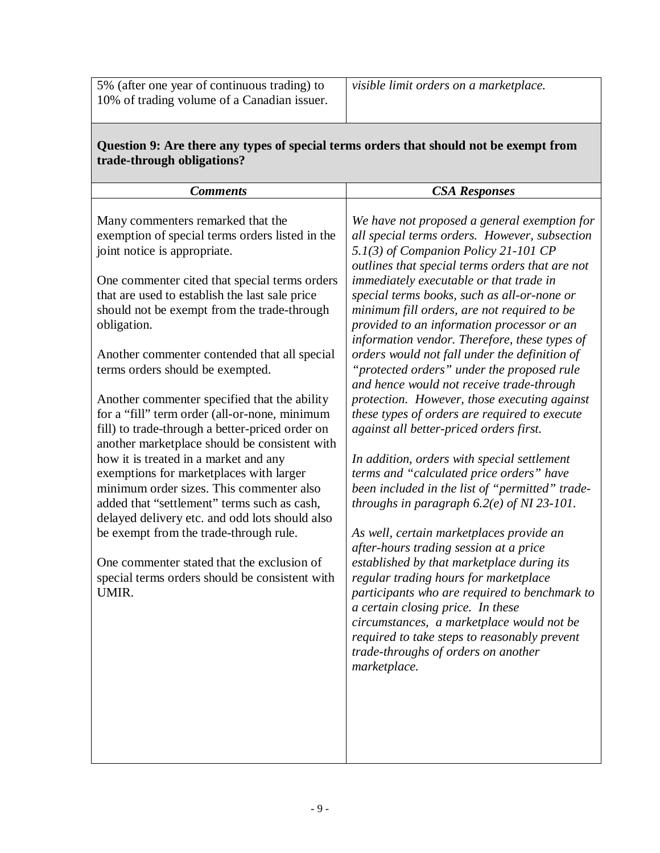| Question 9: Are there any types of special terms orders that should not be exempt from |
|----------------------------------------------------------------------------------------|
| trade-through obligations?                                                             |

| <b>CSA Responses</b>                                                                                                                                                                                                                                                                                                                                                                                                                                                                                                                                                                                                                                                                                                                                                                                                                                                                                                                                                                                                                                                                                                                                                                                                                                                                                                                          |
|-----------------------------------------------------------------------------------------------------------------------------------------------------------------------------------------------------------------------------------------------------------------------------------------------------------------------------------------------------------------------------------------------------------------------------------------------------------------------------------------------------------------------------------------------------------------------------------------------------------------------------------------------------------------------------------------------------------------------------------------------------------------------------------------------------------------------------------------------------------------------------------------------------------------------------------------------------------------------------------------------------------------------------------------------------------------------------------------------------------------------------------------------------------------------------------------------------------------------------------------------------------------------------------------------------------------------------------------------|
| We have not proposed a general exemption for<br>all special terms orders. However, subsection<br>5.1(3) of Companion Policy 21-101 CP<br>outlines that special terms orders that are not<br>immediately executable or that trade in<br>special terms books, such as all-or-none or<br>minimum fill orders, are not required to be<br>provided to an information processor or an<br>information vendor. Therefore, these types of<br>orders would not fall under the definition of<br>"protected orders" under the proposed rule<br>and hence would not receive trade-through<br>protection. However, those executing against<br>these types of orders are required to execute<br>against all better-priced orders first.<br>In addition, orders with special settlement<br>terms and "calculated price orders" have<br>been included in the list of "permitted" trade-<br>throughs in paragraph $6.2(e)$ of NI 23-101.<br>As well, certain marketplaces provide an<br>after-hours trading session at a price<br>established by that marketplace during its<br>regular trading hours for marketplace<br>participants who are required to benchmark to<br>a certain closing price. In these<br>circumstances, a marketplace would not be<br>required to take steps to reasonably prevent<br>trade-throughs of orders on another<br>marketplace. |
|                                                                                                                                                                                                                                                                                                                                                                                                                                                                                                                                                                                                                                                                                                                                                                                                                                                                                                                                                                                                                                                                                                                                                                                                                                                                                                                                               |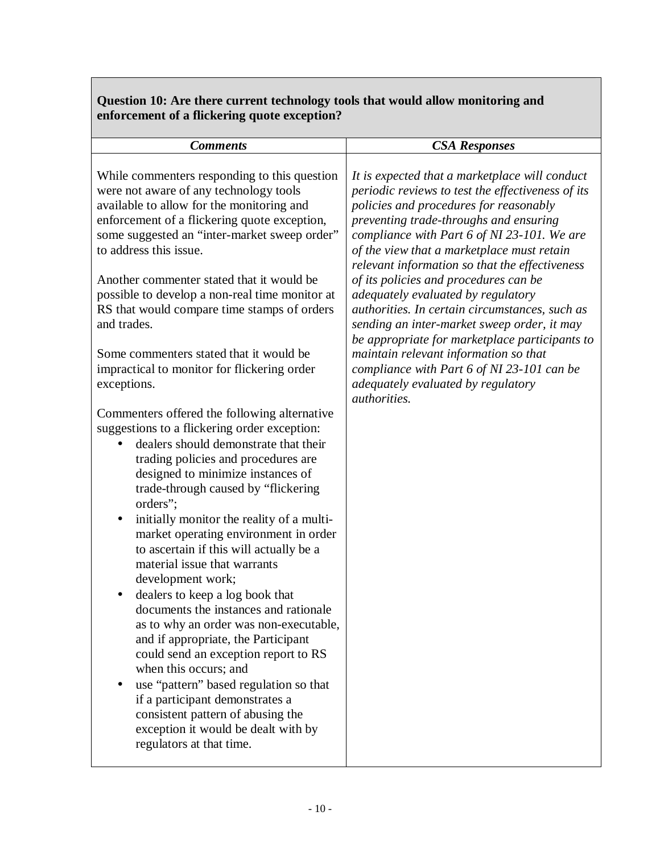## **Question 10: Are there current technology tools that would allow monitoring and enforcement of a flickering quote exception?**

| <b>Comments</b>                                                                                                                                                                                                                                                                                                                                                                                                                                                                                                                                                                                                                                                                                                                                                                                                                                                                                                                                                                                                                                                                                                                                                                                                                                                                                                                                                                                                      | <b>CSA Responses</b>                                                                                                                                                                                                                                                                                                                                                                                                                                                                                                                                                                                                                                                                                                         |
|----------------------------------------------------------------------------------------------------------------------------------------------------------------------------------------------------------------------------------------------------------------------------------------------------------------------------------------------------------------------------------------------------------------------------------------------------------------------------------------------------------------------------------------------------------------------------------------------------------------------------------------------------------------------------------------------------------------------------------------------------------------------------------------------------------------------------------------------------------------------------------------------------------------------------------------------------------------------------------------------------------------------------------------------------------------------------------------------------------------------------------------------------------------------------------------------------------------------------------------------------------------------------------------------------------------------------------------------------------------------------------------------------------------------|------------------------------------------------------------------------------------------------------------------------------------------------------------------------------------------------------------------------------------------------------------------------------------------------------------------------------------------------------------------------------------------------------------------------------------------------------------------------------------------------------------------------------------------------------------------------------------------------------------------------------------------------------------------------------------------------------------------------------|
| While commenters responding to this question<br>were not aware of any technology tools<br>available to allow for the monitoring and<br>enforcement of a flickering quote exception,<br>some suggested an "inter-market sweep order"<br>to address this issue.<br>Another commenter stated that it would be<br>possible to develop a non-real time monitor at<br>RS that would compare time stamps of orders<br>and trades.<br>Some commenters stated that it would be<br>impractical to monitor for flickering order<br>exceptions.<br>Commenters offered the following alternative<br>suggestions to a flickering order exception:<br>dealers should demonstrate that their<br>trading policies and procedures are<br>designed to minimize instances of<br>trade-through caused by "flickering<br>orders";<br>initially monitor the reality of a multi-<br>market operating environment in order<br>to ascertain if this will actually be a<br>material issue that warrants<br>development work;<br>dealers to keep a log book that<br>documents the instances and rationale<br>as to why an order was non-executable,<br>and if appropriate, the Participant<br>could send an exception report to RS<br>when this occurs; and<br>use "pattern" based regulation so that<br>if a participant demonstrates a<br>consistent pattern of abusing the<br>exception it would be dealt with by<br>regulators at that time. | It is expected that a marketplace will conduct<br>periodic reviews to test the effectiveness of its<br>policies and procedures for reasonably<br>preventing trade-throughs and ensuring<br>compliance with Part 6 of NI 23-101. We are<br>of the view that a marketplace must retain<br>relevant information so that the effectiveness<br>of its policies and procedures can be<br>adequately evaluated by regulatory<br>authorities. In certain circumstances, such as<br>sending an inter-market sweep order, it may<br>be appropriate for marketplace participants to<br>maintain relevant information so that<br>compliance with Part 6 of NI 23-101 can be<br>adequately evaluated by regulatory<br><i>authorities.</i> |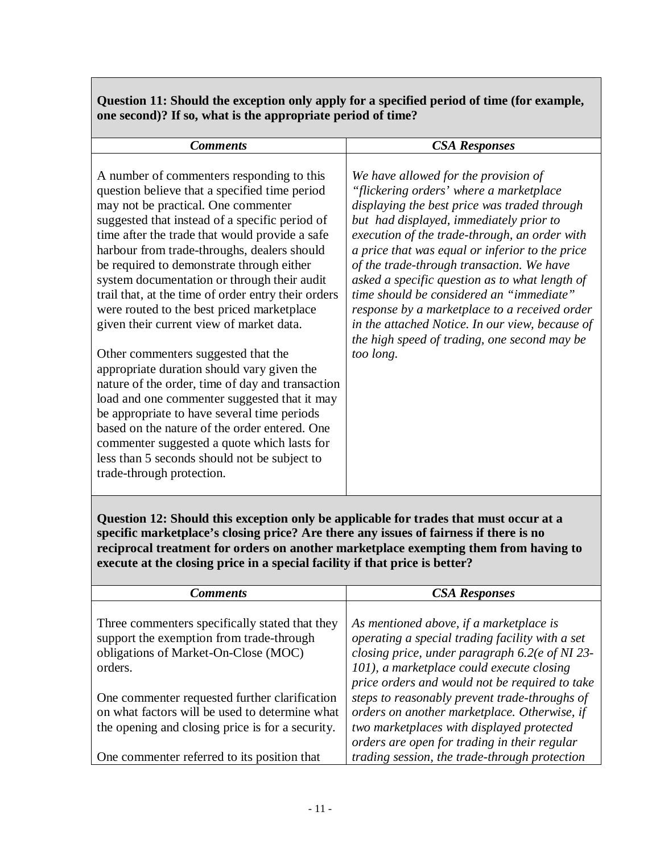**Question 11: Should the exception only apply for a specified period of time (for example, one second)? If so, what is the appropriate period of time?** 

**Question 12: Should this exception only be applicable for trades that must occur at a specific marketplace's closing price? Are there any issues of fairness if there is no reciprocal treatment for orders on another marketplace exempting them from having to execute at the closing price in a special facility if that price is better?** 

| <b>Comments</b>                                                                                                                                     | <b>CSA Responses</b>                                                                                                                                                                                                                         |
|-----------------------------------------------------------------------------------------------------------------------------------------------------|----------------------------------------------------------------------------------------------------------------------------------------------------------------------------------------------------------------------------------------------|
|                                                                                                                                                     |                                                                                                                                                                                                                                              |
| Three commenters specifically stated that they<br>support the exemption from trade-through<br>obligations of Market-On-Close (MOC)<br>orders.       | As mentioned above, if a marketplace is<br>operating a special trading facility with a set<br>closing price, under paragraph 6.2(e of NI 23-<br>101), a marketplace could execute closing                                                    |
| One commenter requested further clarification<br>on what factors will be used to determine what<br>the opening and closing price is for a security. | price orders and would not be required to take<br>steps to reasonably prevent trade-throughs of<br>orders on another marketplace. Otherwise, if<br>two marketplaces with displayed protected<br>orders are open for trading in their regular |
| One commenter referred to its position that                                                                                                         | trading session, the trade-through protection                                                                                                                                                                                                |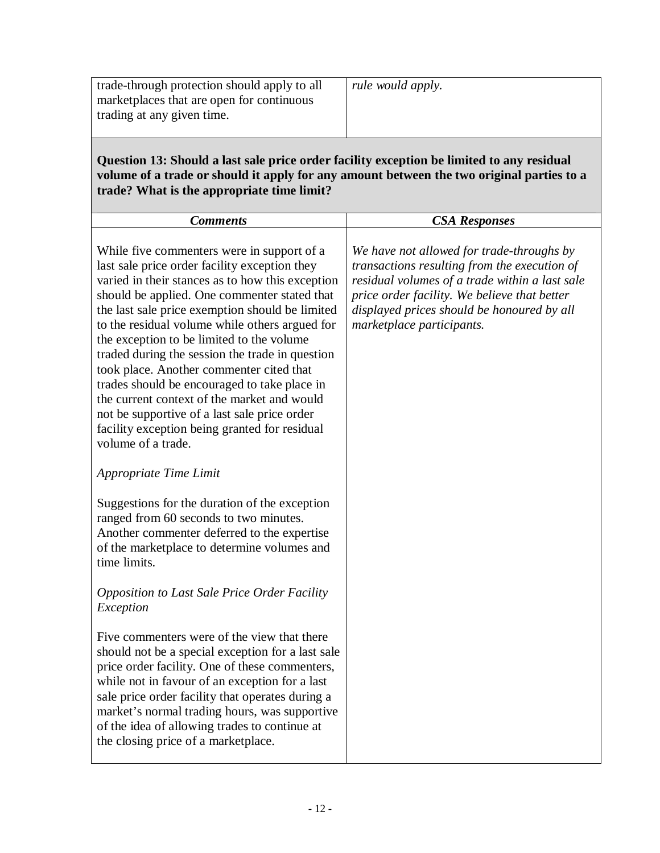| trade-through protection should apply to all<br>marketplaces that are open for continuous<br>trading at any given time.                                                                                                                                                                                                                                                                                                                                                                                                                                                                                                                                                                                                                                                                                                                    | rule would apply.                                                                                                                                                                                                                                                      |
|--------------------------------------------------------------------------------------------------------------------------------------------------------------------------------------------------------------------------------------------------------------------------------------------------------------------------------------------------------------------------------------------------------------------------------------------------------------------------------------------------------------------------------------------------------------------------------------------------------------------------------------------------------------------------------------------------------------------------------------------------------------------------------------------------------------------------------------------|------------------------------------------------------------------------------------------------------------------------------------------------------------------------------------------------------------------------------------------------------------------------|
| Question 13: Should a last sale price order facility exception be limited to any residual<br>volume of a trade or should it apply for any amount between the two original parties to a<br>trade? What is the appropriate time limit?                                                                                                                                                                                                                                                                                                                                                                                                                                                                                                                                                                                                       |                                                                                                                                                                                                                                                                        |
| <b>Comments</b>                                                                                                                                                                                                                                                                                                                                                                                                                                                                                                                                                                                                                                                                                                                                                                                                                            | <b>CSA Responses</b>                                                                                                                                                                                                                                                   |
| While five commenters were in support of a<br>last sale price order facility exception they<br>varied in their stances as to how this exception<br>should be applied. One commenter stated that<br>the last sale price exemption should be limited<br>to the residual volume while others argued for<br>the exception to be limited to the volume<br>traded during the session the trade in question<br>took place. Another commenter cited that<br>trades should be encouraged to take place in<br>the current context of the market and would<br>not be supportive of a last sale price order<br>facility exception being granted for residual<br>volume of a trade.<br>Appropriate Time Limit<br>Suggestions for the duration of the exception<br>ranged from 60 seconds to two minutes.<br>Another commenter deferred to the expertise | We have not allowed for trade-throughs by<br>transactions resulting from the execution of<br>residual volumes of a trade within a last sale<br>price order facility. We believe that better<br>displayed prices should be honoured by all<br>marketplace participants. |
| of the marketplace to determine volumes and<br>time limits.<br><b>Opposition to Last Sale Price Order Facility</b>                                                                                                                                                                                                                                                                                                                                                                                                                                                                                                                                                                                                                                                                                                                         |                                                                                                                                                                                                                                                                        |
| Exception<br>Five commenters were of the view that there<br>should not be a special exception for a last sale<br>price order facility. One of these commenters,<br>while not in favour of an exception for a last<br>sale price order facility that operates during a<br>market's normal trading hours, was supportive<br>of the idea of allowing trades to continue at<br>the closing price of a marketplace.                                                                                                                                                                                                                                                                                                                                                                                                                             |                                                                                                                                                                                                                                                                        |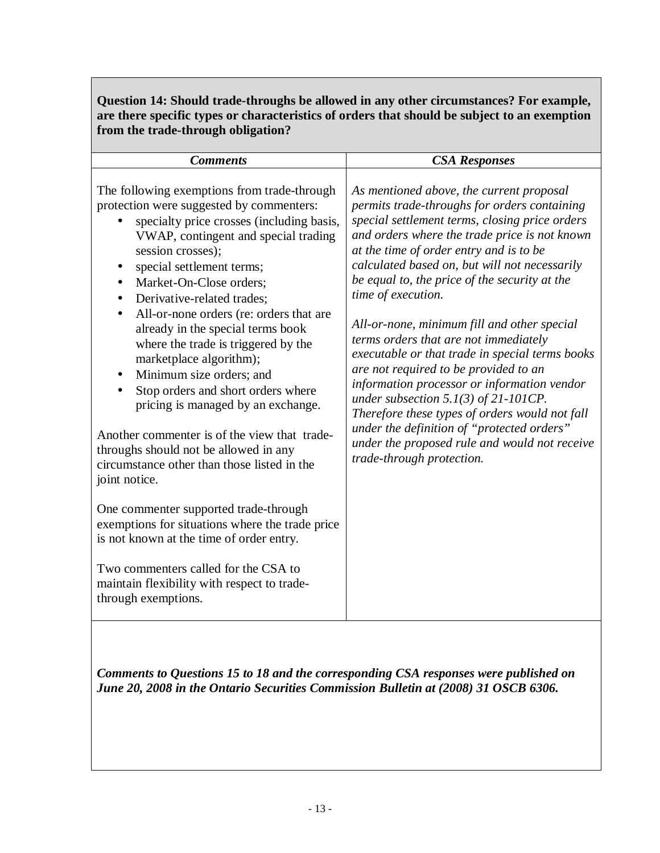### **Question 14: Should trade-throughs be allowed in any other circumstances? For example, are there specific types or characteristics of orders that should be subject to an exemption from the trade-through obligation?**

| <b>Comments</b>                                                                                                                                                                                                                                                                                                                                                                                                                                                                                                                                                                                                                                                                                                                                                                                                                                                                                                                                                                                                                   | <b>CSA Responses</b>                                                                                                                                                                                                                                                                                                                                                                                                                                                                                                                                                                                                                                                                                                                                                                                                         |
|-----------------------------------------------------------------------------------------------------------------------------------------------------------------------------------------------------------------------------------------------------------------------------------------------------------------------------------------------------------------------------------------------------------------------------------------------------------------------------------------------------------------------------------------------------------------------------------------------------------------------------------------------------------------------------------------------------------------------------------------------------------------------------------------------------------------------------------------------------------------------------------------------------------------------------------------------------------------------------------------------------------------------------------|------------------------------------------------------------------------------------------------------------------------------------------------------------------------------------------------------------------------------------------------------------------------------------------------------------------------------------------------------------------------------------------------------------------------------------------------------------------------------------------------------------------------------------------------------------------------------------------------------------------------------------------------------------------------------------------------------------------------------------------------------------------------------------------------------------------------------|
| The following exemptions from trade-through<br>protection were suggested by commenters:<br>specialty price crosses (including basis,<br>VWAP, contingent and special trading<br>session crosses);<br>special settlement terms;<br>Market-On-Close orders;<br>$\bullet$<br>Derivative-related trades;<br>$\bullet$<br>All-or-none orders (re: orders that are<br>$\bullet$<br>already in the special terms book<br>where the trade is triggered by the<br>marketplace algorithm);<br>Minimum size orders; and<br>$\bullet$<br>Stop orders and short orders where<br>$\bullet$<br>pricing is managed by an exchange.<br>Another commenter is of the view that trade-<br>throughs should not be allowed in any<br>circumstance other than those listed in the<br>joint notice.<br>One commenter supported trade-through<br>exemptions for situations where the trade price<br>is not known at the time of order entry.<br>Two commenters called for the CSA to<br>maintain flexibility with respect to trade-<br>through exemptions. | As mentioned above, the current proposal<br>permits trade-throughs for orders containing<br>special settlement terms, closing price orders<br>and orders where the trade price is not known<br>at the time of order entry and is to be<br>calculated based on, but will not necessarily<br>be equal to, the price of the security at the<br>time of execution.<br>All-or-none, minimum fill and other special<br>terms orders that are not immediately<br>executable or that trade in special terms books<br>are not required to be provided to an<br>information processor or information vendor<br>under subsection $5.1(3)$ of $21$ -101CP.<br>Therefore these types of orders would not fall<br>under the definition of "protected orders"<br>under the proposed rule and would not receive<br>trade-through protection. |

*Comments to Questions 15 to 18 and the corresponding CSA responses were published on June 20, 2008 in the Ontario Securities Commission Bulletin at (2008) 31 OSCB 6306.*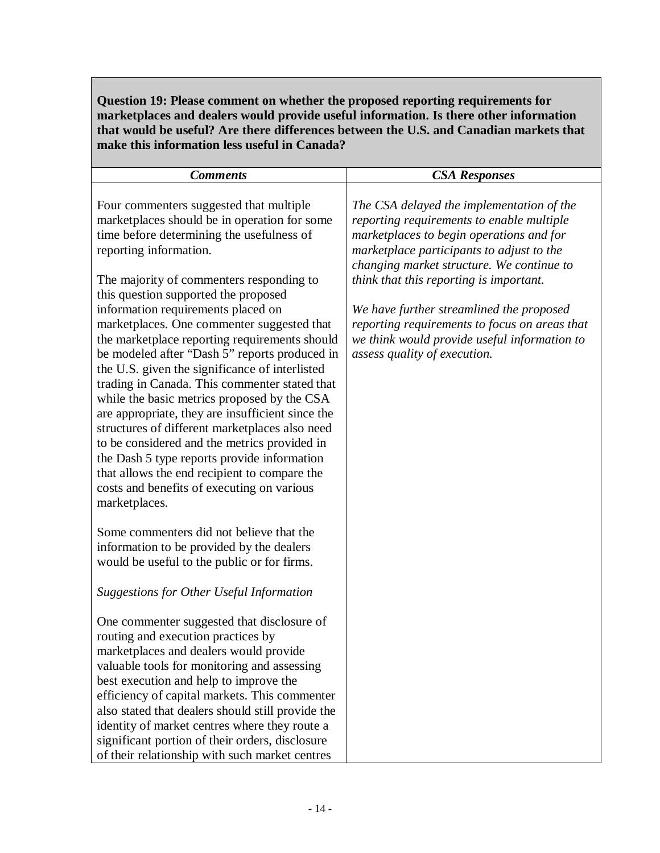**Question 19: Please comment on whether the proposed reporting requirements for marketplaces and dealers would provide useful information. Is there other information that would be useful? Are there differences between the U.S. and Canadian markets that make this information less useful in Canada?** 

| <b>Comments</b>                                                                                                                                                                                                                                                                                                                                                                                                                                                                                                                                                                                                                                                                                                                                  | <b>CSA Responses</b>                                                                                                                                                                                                                                                                                                                                                                                                                                 |
|--------------------------------------------------------------------------------------------------------------------------------------------------------------------------------------------------------------------------------------------------------------------------------------------------------------------------------------------------------------------------------------------------------------------------------------------------------------------------------------------------------------------------------------------------------------------------------------------------------------------------------------------------------------------------------------------------------------------------------------------------|------------------------------------------------------------------------------------------------------------------------------------------------------------------------------------------------------------------------------------------------------------------------------------------------------------------------------------------------------------------------------------------------------------------------------------------------------|
| Four commenters suggested that multiple<br>marketplaces should be in operation for some<br>time before determining the usefulness of<br>reporting information.<br>The majority of commenters responding to<br>this question supported the proposed<br>information requirements placed on<br>marketplaces. One commenter suggested that<br>the marketplace reporting requirements should<br>be modeled after "Dash 5" reports produced in<br>the U.S. given the significance of interlisted<br>trading in Canada. This commenter stated that<br>while the basic metrics proposed by the CSA<br>are appropriate, they are insufficient since the<br>structures of different marketplaces also need<br>to be considered and the metrics provided in | The CSA delayed the implementation of the<br>reporting requirements to enable multiple<br>marketplaces to begin operations and for<br>marketplace participants to adjust to the<br>changing market structure. We continue to<br>think that this reporting is important.<br>We have further streamlined the proposed<br>reporting requirements to focus on areas that<br>we think would provide useful information to<br>assess quality of execution. |
| the Dash 5 type reports provide information<br>that allows the end recipient to compare the<br>costs and benefits of executing on various<br>marketplaces.                                                                                                                                                                                                                                                                                                                                                                                                                                                                                                                                                                                       |                                                                                                                                                                                                                                                                                                                                                                                                                                                      |
| Some commenters did not believe that the<br>information to be provided by the dealers<br>would be useful to the public or for firms.                                                                                                                                                                                                                                                                                                                                                                                                                                                                                                                                                                                                             |                                                                                                                                                                                                                                                                                                                                                                                                                                                      |
| <b>Suggestions for Other Useful Information</b>                                                                                                                                                                                                                                                                                                                                                                                                                                                                                                                                                                                                                                                                                                  |                                                                                                                                                                                                                                                                                                                                                                                                                                                      |
| One commenter suggested that disclosure of<br>routing and execution practices by<br>market places and dealers would provide<br>valuable tools for monitoring and assessing                                                                                                                                                                                                                                                                                                                                                                                                                                                                                                                                                                       |                                                                                                                                                                                                                                                                                                                                                                                                                                                      |
| best execution and help to improve the<br>efficiency of capital markets. This commenter<br>also stated that dealers should still provide the<br>identity of market centres where they route a<br>significant portion of their orders, disclosure<br>of their relationship with such market centres                                                                                                                                                                                                                                                                                                                                                                                                                                               |                                                                                                                                                                                                                                                                                                                                                                                                                                                      |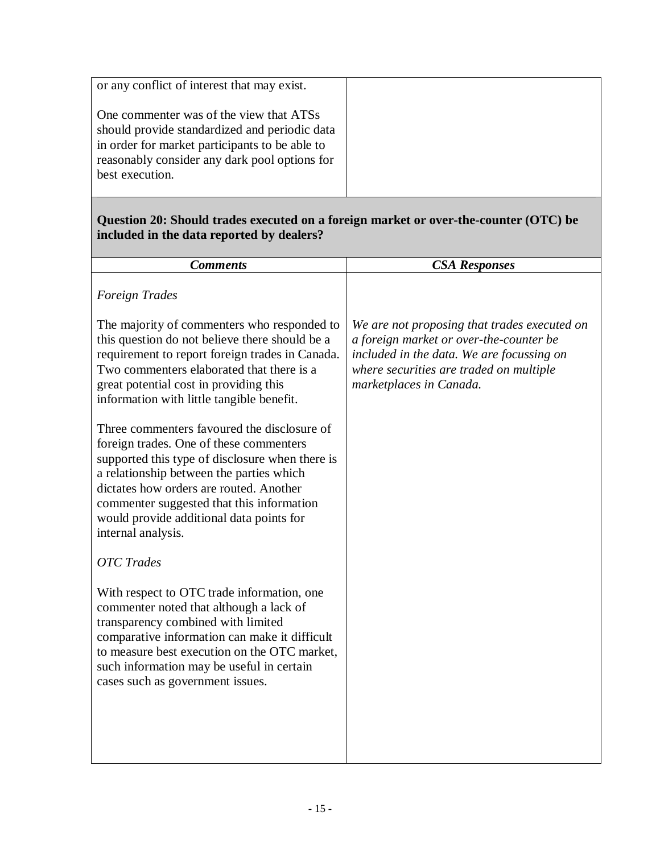| or any conflict of interest that may exist.                                                                                                                                                                    |  |
|----------------------------------------------------------------------------------------------------------------------------------------------------------------------------------------------------------------|--|
| One commenter was of the view that ATSs<br>should provide standardized and periodic data<br>in order for market participants to be able to<br>reasonably consider any dark pool options for<br>best execution. |  |

#### **Question 20: Should trades executed on a foreign market or over-the-counter (OTC) be included in the data reported by dealers?**

| <b>CSA Responses</b>                                                                                                                                                                                       |
|------------------------------------------------------------------------------------------------------------------------------------------------------------------------------------------------------------|
|                                                                                                                                                                                                            |
| We are not proposing that trades executed on<br>a foreign market or over-the-counter be<br>included in the data. We are focussing on<br>where securities are traded on multiple<br>marketplaces in Canada. |
|                                                                                                                                                                                                            |
|                                                                                                                                                                                                            |
|                                                                                                                                                                                                            |
|                                                                                                                                                                                                            |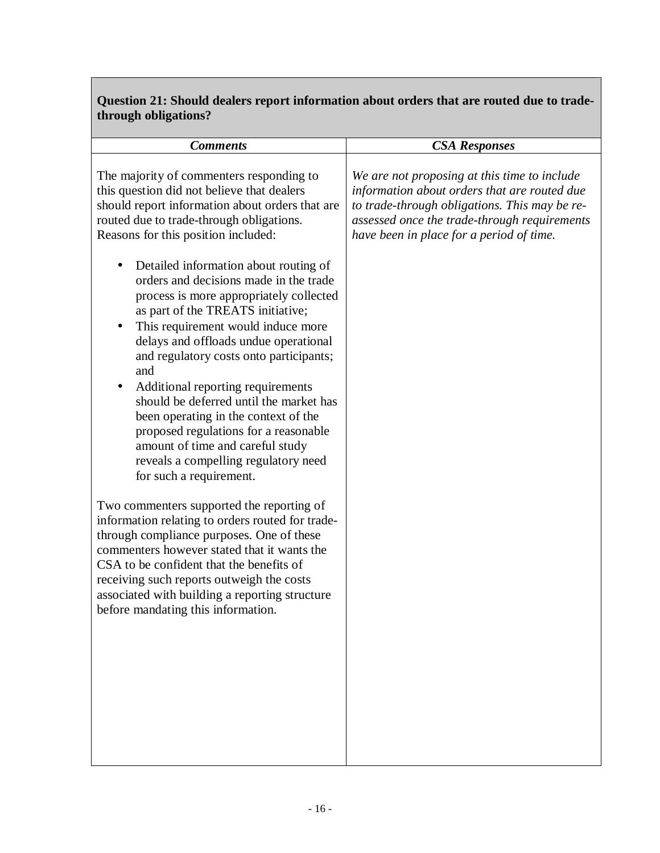## **Question 21: Should dealers report information about orders that are routed due to tradethrough obligations?**

| <b>Comments</b>                                                                                                                                                                                                                                                                                                                                                                                                                                              | <b>CSA Responses</b>                                                                                                                                                                                                                      |
|--------------------------------------------------------------------------------------------------------------------------------------------------------------------------------------------------------------------------------------------------------------------------------------------------------------------------------------------------------------------------------------------------------------------------------------------------------------|-------------------------------------------------------------------------------------------------------------------------------------------------------------------------------------------------------------------------------------------|
| The majority of commenters responding to<br>this question did not believe that dealers<br>should report information about orders that are<br>routed due to trade-through obligations.<br>Reasons for this position included:<br>Detailed information about routing of<br>$\bullet$                                                                                                                                                                           | We are not proposing at this time to include<br>information about orders that are routed due<br>to trade-through obligations. This may be re-<br>assessed once the trade-through requirements<br>have been in place for a period of time. |
| orders and decisions made in the trade<br>process is more appropriately collected<br>as part of the TREATS initiative;<br>This requirement would induce more<br>delays and offloads undue operational<br>and regulatory costs onto participants;<br>and<br>Additional reporting requirements<br>should be deferred until the market has<br>been operating in the context of the<br>proposed regulations for a reasonable<br>amount of time and careful study |                                                                                                                                                                                                                                           |
| reveals a compelling regulatory need<br>for such a requirement.<br>Two commenters supported the reporting of<br>information relating to orders routed for trade-<br>through compliance purposes. One of these<br>commenters however stated that it wants the                                                                                                                                                                                                 |                                                                                                                                                                                                                                           |
| CSA to be confident that the benefits of<br>receiving such reports outweigh the costs<br>associated with building a reporting structure<br>before mandating this information.                                                                                                                                                                                                                                                                                |                                                                                                                                                                                                                                           |
|                                                                                                                                                                                                                                                                                                                                                                                                                                                              |                                                                                                                                                                                                                                           |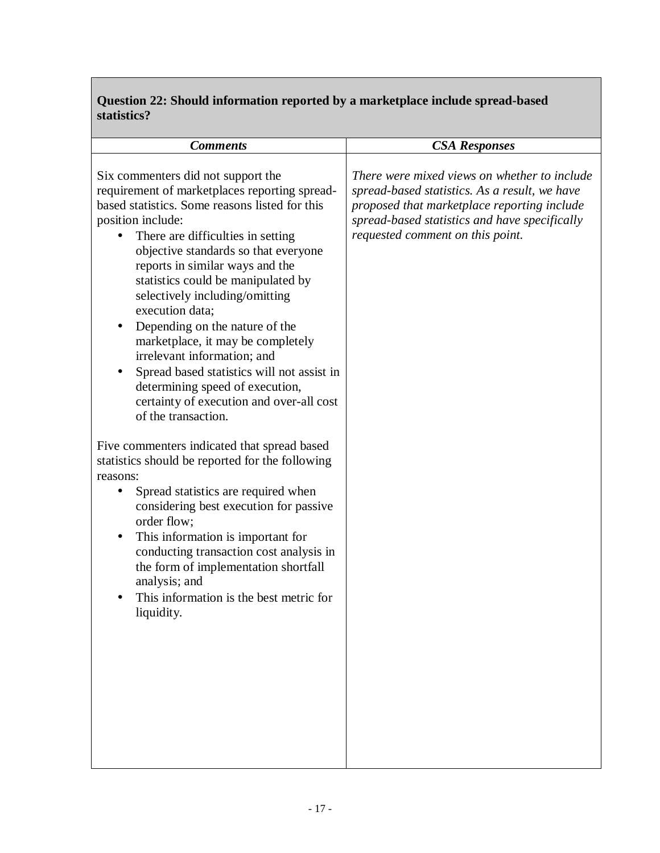## **Question 22: Should information reported by a marketplace include spread-based statistics?**

| <b>Comments</b>                                                                                                                                                                                                                                                                                                                                                                                                                                                                                                                                                                                                                                                                                                                                                                                                                                                                                                                                                                                                                                                           | <b>CSA Responses</b>                                                                                                                                                                                                              |
|---------------------------------------------------------------------------------------------------------------------------------------------------------------------------------------------------------------------------------------------------------------------------------------------------------------------------------------------------------------------------------------------------------------------------------------------------------------------------------------------------------------------------------------------------------------------------------------------------------------------------------------------------------------------------------------------------------------------------------------------------------------------------------------------------------------------------------------------------------------------------------------------------------------------------------------------------------------------------------------------------------------------------------------------------------------------------|-----------------------------------------------------------------------------------------------------------------------------------------------------------------------------------------------------------------------------------|
| Six commenters did not support the<br>requirement of marketplaces reporting spread-<br>based statistics. Some reasons listed for this<br>position include:<br>There are difficulties in setting<br>objective standards so that everyone<br>reports in similar ways and the<br>statistics could be manipulated by<br>selectively including/omitting<br>execution data;<br>Depending on the nature of the<br>marketplace, it may be completely<br>irrelevant information; and<br>Spread based statistics will not assist in<br>$\bullet$<br>determining speed of execution,<br>certainty of execution and over-all cost<br>of the transaction.<br>Five commenters indicated that spread based<br>statistics should be reported for the following<br>reasons:<br>Spread statistics are required when<br>$\bullet$<br>considering best execution for passive<br>order flow;<br>This information is important for<br>conducting transaction cost analysis in<br>the form of implementation shortfall<br>analysis; and<br>This information is the best metric for<br>liquidity. | There were mixed views on whether to include<br>spread-based statistics. As a result, we have<br>proposed that marketplace reporting include<br>spread-based statistics and have specifically<br>requested comment on this point. |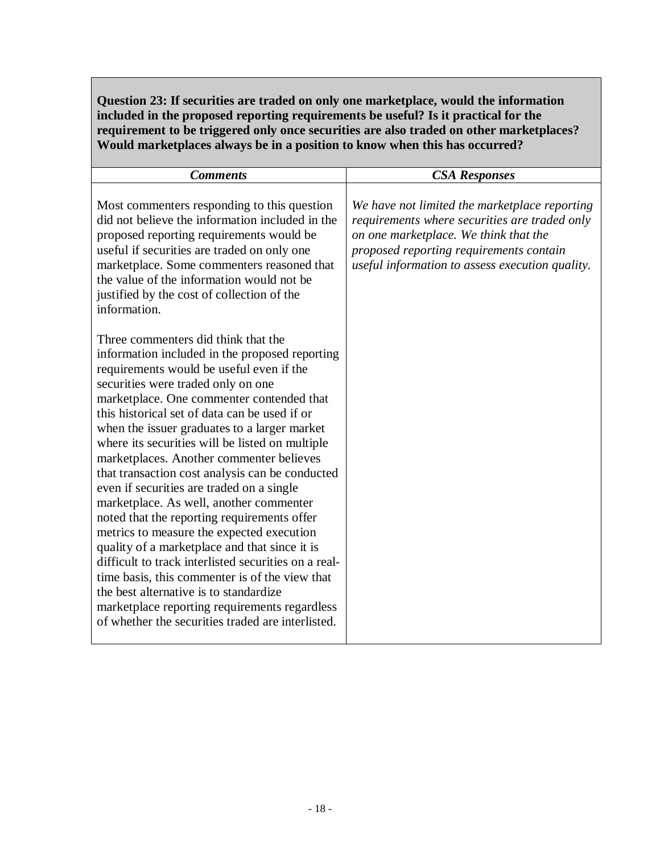**Question 23: If securities are traded on only one marketplace, would the information included in the proposed reporting requirements be useful? Is it practical for the requirement to be triggered only once securities are also traded on other marketplaces? Would marketplaces always be in a position to know when this has occurred?** 

| <b>Comments</b>                                                                                                                                                                                                                                                                                                                                                                                                                                                                                                                                                                                                                                                                                                                                                                                                                                                                                                                                                        | <b>CSA Responses</b>                                                                                                                                                                                                                  |
|------------------------------------------------------------------------------------------------------------------------------------------------------------------------------------------------------------------------------------------------------------------------------------------------------------------------------------------------------------------------------------------------------------------------------------------------------------------------------------------------------------------------------------------------------------------------------------------------------------------------------------------------------------------------------------------------------------------------------------------------------------------------------------------------------------------------------------------------------------------------------------------------------------------------------------------------------------------------|---------------------------------------------------------------------------------------------------------------------------------------------------------------------------------------------------------------------------------------|
| Most commenters responding to this question<br>did not believe the information included in the<br>proposed reporting requirements would be<br>useful if securities are traded on only one<br>marketplace. Some commenters reasoned that<br>the value of the information would not be<br>justified by the cost of collection of the<br>information.                                                                                                                                                                                                                                                                                                                                                                                                                                                                                                                                                                                                                     | We have not limited the marketplace reporting<br>requirements where securities are traded only<br>on one marketplace. We think that the<br>proposed reporting requirements contain<br>useful information to assess execution quality. |
| Three commenters did think that the<br>information included in the proposed reporting<br>requirements would be useful even if the<br>securities were traded only on one<br>marketplace. One commenter contended that<br>this historical set of data can be used if or<br>when the issuer graduates to a larger market<br>where its securities will be listed on multiple<br>marketplaces. Another commenter believes<br>that transaction cost analysis can be conducted<br>even if securities are traded on a single<br>marketplace. As well, another commenter<br>noted that the reporting requirements offer<br>metrics to measure the expected execution<br>quality of a marketplace and that since it is<br>difficult to track interlisted securities on a real-<br>time basis, this commenter is of the view that<br>the best alternative is to standardize<br>marketplace reporting requirements regardless<br>of whether the securities traded are interlisted. |                                                                                                                                                                                                                                       |